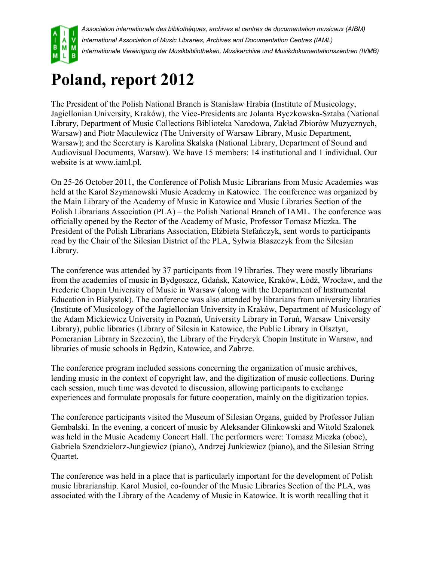

*Association internationale des bibliothèques, archives et centres de documentation musicaux (AIBM) International Association of Music Libraries, Archives and Documentation Centres (IAML) Internationale Vereinigung der Musikbibliotheken, Musikarchive und Musikdokumentationszentren (IVMB)*

## **Poland, report 2012**

The President of the Polish National Branch is Stanisław Hrabia (Institute of Musicology, Jagiellonian University, Kraków), the Vice-Presidents are Jolanta Byczkowska-Sztaba (National Library, Department of Music Collections Biblioteka Narodowa, Zakład Zbiorów Muzycznych, Warsaw) and Piotr Maculewicz (The University of Warsaw Library, Music Department, Warsaw); and the Secretary is Karolina Skalska (National Library, Department of Sound and Audiovisual Documents, Warsaw). We have 15 members: 14 institutional and 1 individual. Our website is at www.iaml.pl.

On 25-26 October 2011, the Conference of Polish Music Librarians from Music Academies was held at the Karol Szymanowski Music Academy in Katowice. The conference was organized by the Main Library of the Academy of Music in Katowice and Music Libraries Section of the Polish Librarians Association (PLA) – the Polish National Branch of IAML. The conference was officially opened by the Rector of the Academy of Music, Professor Tomasz Miczka. The President of the Polish Librarians Association, Elżbieta Stefańczyk, sent words to participants read by the Chair of the Silesian District of the PLA, Sylwia Błaszczyk from the Silesian Library.

The conference was attended by 37 participants from 19 libraries. They were mostly librarians from the academies of music in Bydgoszcz, Gdańsk, Katowice, Kraków, Łódź, Wrocław, and the Frederic Chopin University of Music in Warsaw (along with the Department of Instrumental Education in Białystok). The conference was also attended by librarians from university libraries (Institute of Musicology of the Jagiellonian University in Kraków, Department of Musicology of the Adam Mickiewicz University in Poznań, University Library in Toruń, Warsaw University Library), public libraries (Library of Silesia in Katowice, the Public Library in Olsztyn, Pomeranian Library in Szczecin), the Library of the Fryderyk Chopin Institute in Warsaw, and libraries of music schools in Będzin, Katowice, and Zabrze.

The conference program included sessions concerning the organization of music archives, lending music in the context of copyright law, and the digitization of music collections. During each session, much time was devoted to discussion, allowing participants to exchange experiences and formulate proposals for future cooperation, mainly on the digitization topics.

The conference participants visited the Museum of Silesian Organs, guided by Professor Julian Gembalski. In the evening, a concert of music by Aleksander Glinkowski and Witold Szalonek was held in the Music Academy Concert Hall. The performers were: Tomasz Miczka (oboe), Gabriela Szendzielorz-Jungiewicz (piano), Andrzej Junkiewicz (piano), and the Silesian String Quartet.

The conference was held in a place that is particularly important for the development of Polish music librarianship. Karol Musioł, co-founder of the Music Libraries Section of the PLA, was associated with the Library of the Academy of Music in Katowice. It is worth recalling that it